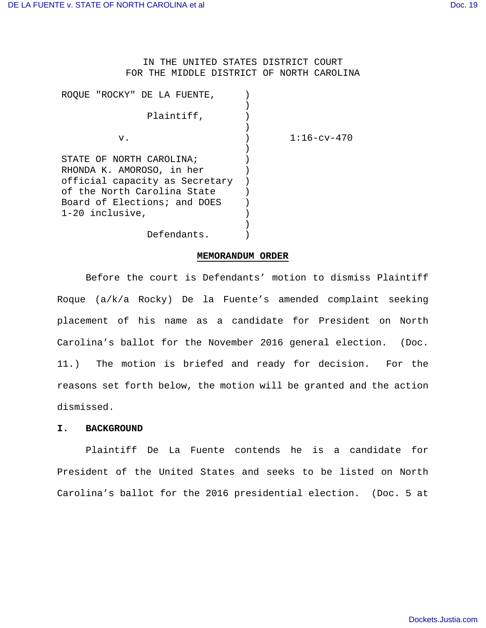IN THE UNITED STATES DISTRICT COURT FOR THE MIDDLE DISTRICT OF NORTH CAROLINA

| "ROCKY" DE LA FUENTE,<br>ROOUE. |                     |
|---------------------------------|---------------------|
|                                 |                     |
| Plaintiff,                      |                     |
|                                 |                     |
| v.                              | $1:16$ – $cv$ – 470 |
|                                 |                     |
| STATE OF NORTH CAROLINA;        |                     |
| RHONDA K. AMOROSO, in her       |                     |
| official capacity as Secretary  |                     |
| of the North Carolina State     |                     |
| Board of Elections; and DOES    |                     |
| 1-20 inclusive,                 |                     |
|                                 |                     |
| Defendants.                     |                     |

## **MEMORANDUM ORDER**

Before the court is Defendants' motion to dismiss Plaintiff Roque (a/k/a Rocky) De la Fuente's amended complaint seeking placement of his name as a candidate for President on North Carolina's ballot for the November 2016 general election. (Doc. 11.) The motion is briefed and ready for decision. For the reasons set forth below, the motion will be granted and the action dismissed.

## **I. BACKGROUND**

Plaintiff De La Fuente contends he is a candidate for President of the United States and seeks to be listed on North Carolina's ballot for the 2016 presidential election. (Doc. 5 at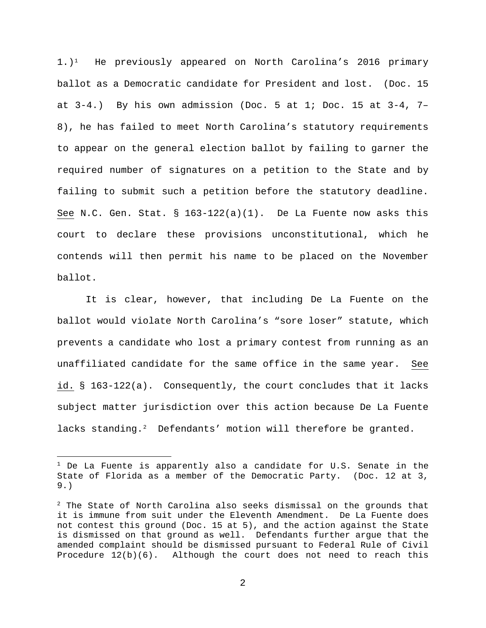$1.$ )<sup>1</sup> He previously appeared on North Carolina's 2016 primary ballot as a Democratic candidate for President and lost. (Doc. 15 at  $3-4$ .) By his own admission (Doc. 5 at 1; Doc. 15 at  $3-4$ , 7-8), he has failed to meet North Carolina's statutory requirements to appear on the general election ballot by failing to garner the required number of signatures on a petition to the State and by failing to submit such a petition before the statutory deadline. See N.C. Gen. Stat. §  $163-122(a)(1)$ . De La Fuente now asks this court to declare these provisions unconstitutional, which he contends will then permit his name to be placed on the November ballot.

It is clear, however, that including De La Fuente on the ballot would violate North Carolina's "sore loser" statute, which prevents a candidate who lost a primary contest from running as an unaffiliated candidate for the same office in the same year. See id. § 163-122(a). Consequently, the court concludes that it lacks subject matter jurisdiction over this action because De La Fuente lacks standing.<sup>2</sup> Defendants' motion will therefore be granted.

i

 $1$  De La Fuente is apparently also a candidate for U.S. Senate in the State of Florida as a member of the Democratic Party. (Doc. 12 at 3, 9.)

 $2$  The State of North Carolina also seeks dismissal on the grounds that it is immune from suit under the Eleventh Amendment. De La Fuente does not contest this ground (Doc. 15 at 5), and the action against the State is dismissed on that ground as well. Defendants further argue that the amended complaint should be dismissed pursuant to Federal Rule of Civil Procedure  $12(b)(6)$ . Although the court does not need to reach this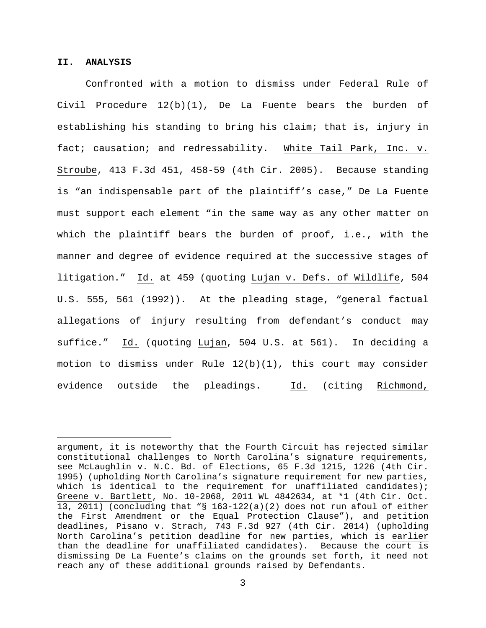## **II. ANALYSIS**

Confronted with a motion to dismiss under Federal Rule of Civil Procedure  $12(b)(1)$ , De La Fuente bears the burden of establishing his standing to bring his claim; that is, injury in fact; causation; and redressability. White Tail Park, Inc. v. Stroube, 413 F.3d 451, 458-59 (4th Cir. 2005). Because standing is "an indispensable part of the plaintiff's case," De La Fuente must support each element "in the same way as any other matter on which the plaintiff bears the burden of proof, i.e., with the manner and degree of evidence required at the successive stages of litigation." Id. at 459 (quoting Lujan v. Defs. of Wildlife, 504 U.S. 555, 561 (1992)). At the pleading stage, "general factual allegations of injury resulting from defendant's conduct may suffice." Id. (quoting Lujan, 504 U.S. at 561). In deciding a motion to dismiss under Rule  $12(b)(1)$ , this court may consider evidence outside the pleadings. Id. (citing Richmond,

argument, it is noteworthy that the Fourth Circuit has rejected similar constitutional challenges to North Carolina's signature requirements, see McLaughlin v. N.C. Bd. of Elections, 65 F.3d 1215, 1226 (4th Cir. 1995) (upholding North Carolina's signature requirement for new parties, which is identical to the requirement for unaffiliated candidates); Greene v. Bartlett, No. 10-2068, 2011 WL 4842634, at \*1 (4th Cir. Oct. 13, 2011) (concluding that "§ 163-122(a)(2) does not run afoul of either the First Amendment or the Equal Protection Clause"), and petition deadlines, Pisano v. Strach, 743 F.3d 927 (4th Cir. 2014) (upholding North Carolina's petition deadline for new parties, which is earlier than the deadline for unaffiliated candidates). Because the court is dismissing De La Fuente's claims on the grounds set forth, it need not reach any of these additional grounds raised by Defendants.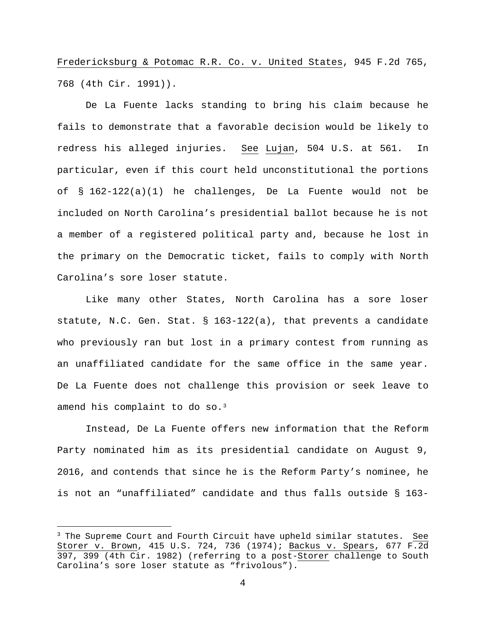Fredericksburg & Potomac R.R. Co. v. United States, 945 F.2d 765, 768 (4th Cir. 1991)).

De La Fuente lacks standing to bring his claim because he fails to demonstrate that a favorable decision would be likely to redress his alleged injuries. See Lujan, 504 U.S. at 561. In particular, even if this court held unconstitutional the portions of § 162-122(a)(1) he challenges, De La Fuente would not be included on North Carolina's presidential ballot because he is not a member of a registered political party and, because he lost in the primary on the Democratic ticket, fails to comply with North Carolina's sore loser statute.

Like many other States, North Carolina has a sore loser statute, N.C. Gen. Stat. § 163-122(a), that prevents a candidate who previously ran but lost in a primary contest from running as an unaffiliated candidate for the same office in the same year. De La Fuente does not challenge this provision or seek leave to amend his complaint to do so.<sup>3</sup>

Instead, De La Fuente offers new information that the Reform Party nominated him as its presidential candidate on August 9, 2016, and contends that since he is the Reform Party's nominee, he is not an "unaffiliated" candidate and thus falls outside § 163-

 $3$  The Supreme Court and Fourth Circuit have upheld similar statutes. See Storer v. Brown, 415 U.S. 724, 736 (1974); Backus v. Spears, 677 F.2d 397, 399 (4th Cir. 1982) (referring to a post-Storer challenge to South Carolina's sore loser statute as "frivolous").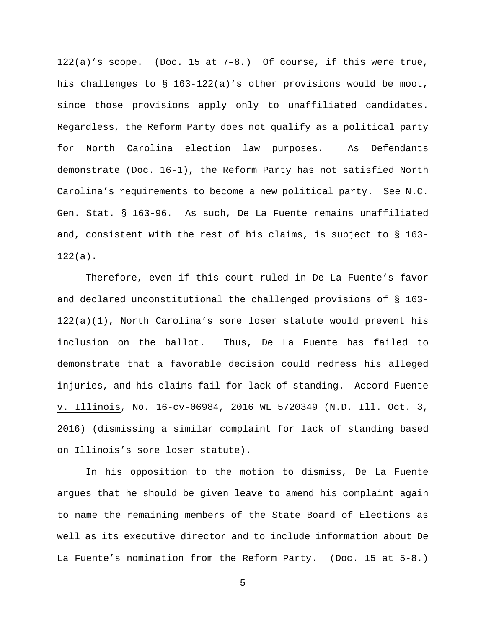122(a)'s scope. (Doc. 15 at 7–8.) Of course, if this were true, his challenges to § 163-122(a)'s other provisions would be moot, since those provisions apply only to unaffiliated candidates. Regardless, the Reform Party does not qualify as a political party for North Carolina election law purposes. As Defendants demonstrate (Doc. 16-1), the Reform Party has not satisfied North Carolina's requirements to become a new political party. See N.C. Gen. Stat. § 163-96. As such, De La Fuente remains unaffiliated and, consistent with the rest of his claims, is subject to § 163- 122(a).

Therefore, even if this court ruled in De La Fuente's favor and declared unconstitutional the challenged provisions of § 163- 122(a)(1), North Carolina's sore loser statute would prevent his inclusion on the ballot. Thus, De La Fuente has failed to demonstrate that a favorable decision could redress his alleged injuries, and his claims fail for lack of standing. Accord Fuente v. Illinois, No. 16-cv-06984, 2016 WL 5720349 (N.D. Ill. Oct. 3, 2016) (dismissing a similar complaint for lack of standing based on Illinois's sore loser statute).

In his opposition to the motion to dismiss, De La Fuente argues that he should be given leave to amend his complaint again to name the remaining members of the State Board of Elections as well as its executive director and to include information about De La Fuente's nomination from the Reform Party. (Doc. 15 at 5-8.)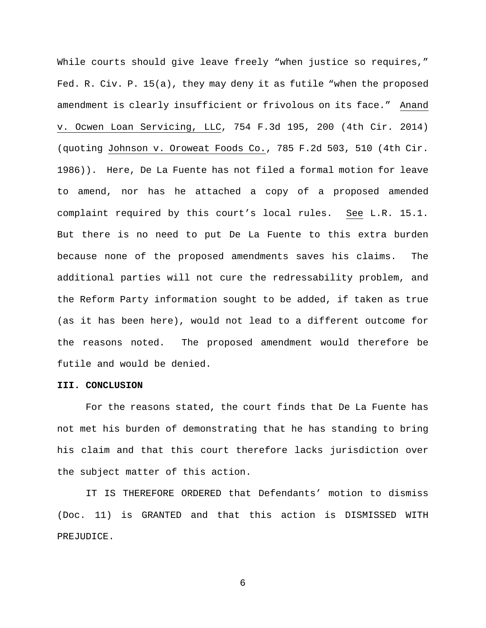While courts should give leave freely "when justice so requires," Fed. R. Civ. P. 15(a), they may deny it as futile "when the proposed amendment is clearly insufficient or frivolous on its face." Anand v. Ocwen Loan Servicing, LLC, 754 F.3d 195, 200 (4th Cir. 2014) (quoting Johnson v. Oroweat Foods Co., 785 F.2d 503, 510 (4th Cir. 1986)). Here, De La Fuente has not filed a formal motion for leave to amend, nor has he attached a copy of a proposed amended complaint required by this court's local rules. See L.R. 15.1. But there is no need to put De La Fuente to this extra burden because none of the proposed amendments saves his claims. The additional parties will not cure the redressability problem, and the Reform Party information sought to be added, if taken as true (as it has been here), would not lead to a different outcome for the reasons noted. The proposed amendment would therefore be futile and would be denied.

## **III. CONCLUSION**

For the reasons stated, the court finds that De La Fuente has not met his burden of demonstrating that he has standing to bring his claim and that this court therefore lacks jurisdiction over the subject matter of this action.

IT IS THEREFORE ORDERED that Defendants' motion to dismiss (Doc. 11) is GRANTED and that this action is DISMISSED WITH PREJUDICE.